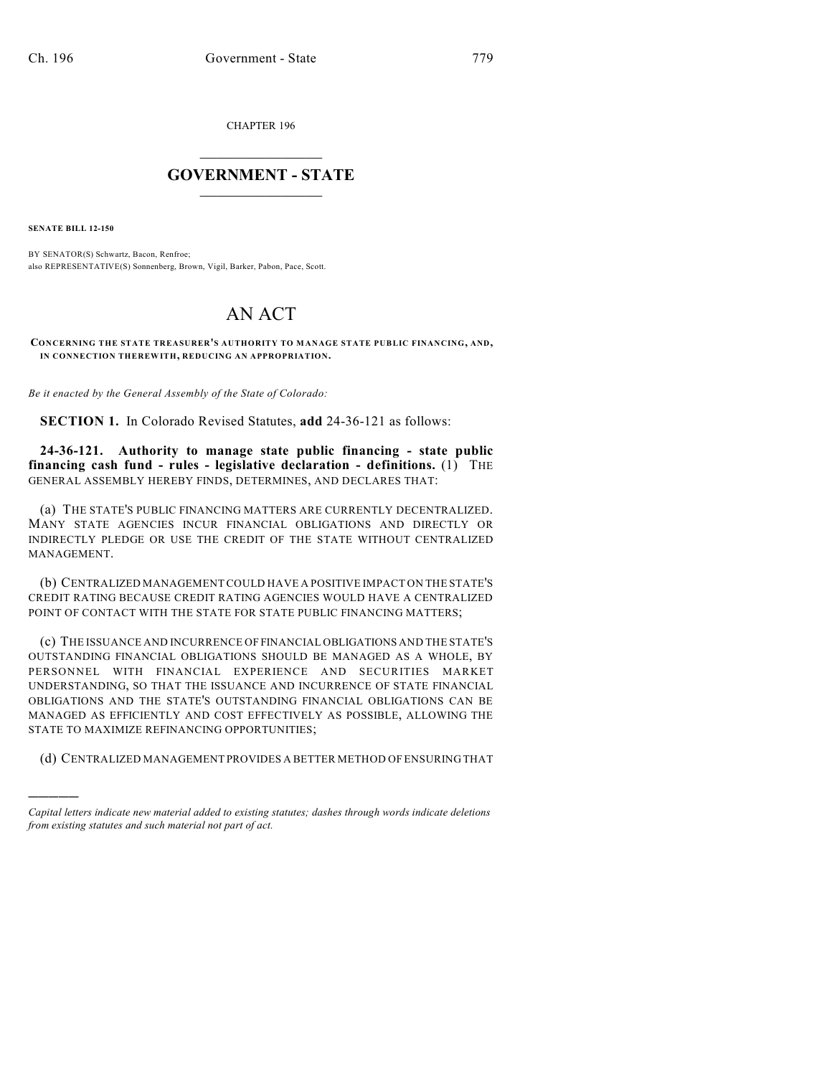CHAPTER 196

## $\mathcal{L}_\text{max}$  . The set of the set of the set of the set of the set of the set of the set of the set of the set of the set of the set of the set of the set of the set of the set of the set of the set of the set of the set **GOVERNMENT - STATE**  $\_$   $\_$   $\_$   $\_$   $\_$   $\_$   $\_$   $\_$   $\_$

**SENATE BILL 12-150**

)))))

BY SENATOR(S) Schwartz, Bacon, Renfroe; also REPRESENTATIVE(S) Sonnenberg, Brown, Vigil, Barker, Pabon, Pace, Scott.

## AN ACT

**CONCERNING THE STATE TREASURER'S AUTHORITY TO MANAGE STATE PUBLIC FINANCING, AND, IN CONNECTION THEREWITH, REDUCING AN APPROPRIATION.**

*Be it enacted by the General Assembly of the State of Colorado:*

**SECTION 1.** In Colorado Revised Statutes, **add** 24-36-121 as follows:

**24-36-121. Authority to manage state public financing - state public financing cash fund - rules - legislative declaration - definitions.** (1) THE GENERAL ASSEMBLY HEREBY FINDS, DETERMINES, AND DECLARES THAT:

(a) THE STATE'S PUBLIC FINANCING MATTERS ARE CURRENTLY DECENTRALIZED. MANY STATE AGENCIES INCUR FINANCIAL OBLIGATIONS AND DIRECTLY OR INDIRECTLY PLEDGE OR USE THE CREDIT OF THE STATE WITHOUT CENTRALIZED MANAGEMENT.

(b) CENTRALIZED MANAGEMENTCOULD HAVE A POSITIVE IMPACT ON THE STATE'S CREDIT RATING BECAUSE CREDIT RATING AGENCIES WOULD HAVE A CENTRALIZED POINT OF CONTACT WITH THE STATE FOR STATE PUBLIC FINANCING MATTERS;

(c) THE ISSUANCE AND INCURRENCE OF FINANCIAL OBLIGATIONS AND THE STATE'S OUTSTANDING FINANCIAL OBLIGATIONS SHOULD BE MANAGED AS A WHOLE, BY PERSONNEL WITH FINANCIAL EXPERIENCE AND SECURITIES MARKET UNDERSTANDING, SO THAT THE ISSUANCE AND INCURRENCE OF STATE FINANCIAL OBLIGATIONS AND THE STATE'S OUTSTANDING FINANCIAL OBLIGATIONS CAN BE MANAGED AS EFFICIENTLY AND COST EFFECTIVELY AS POSSIBLE, ALLOWING THE STATE TO MAXIMIZE REFINANCING OPPORTUNITIES;

(d) CENTRALIZED MANAGEMENT PROVIDES A BETTER METHOD OF ENSURING THAT

*Capital letters indicate new material added to existing statutes; dashes through words indicate deletions from existing statutes and such material not part of act.*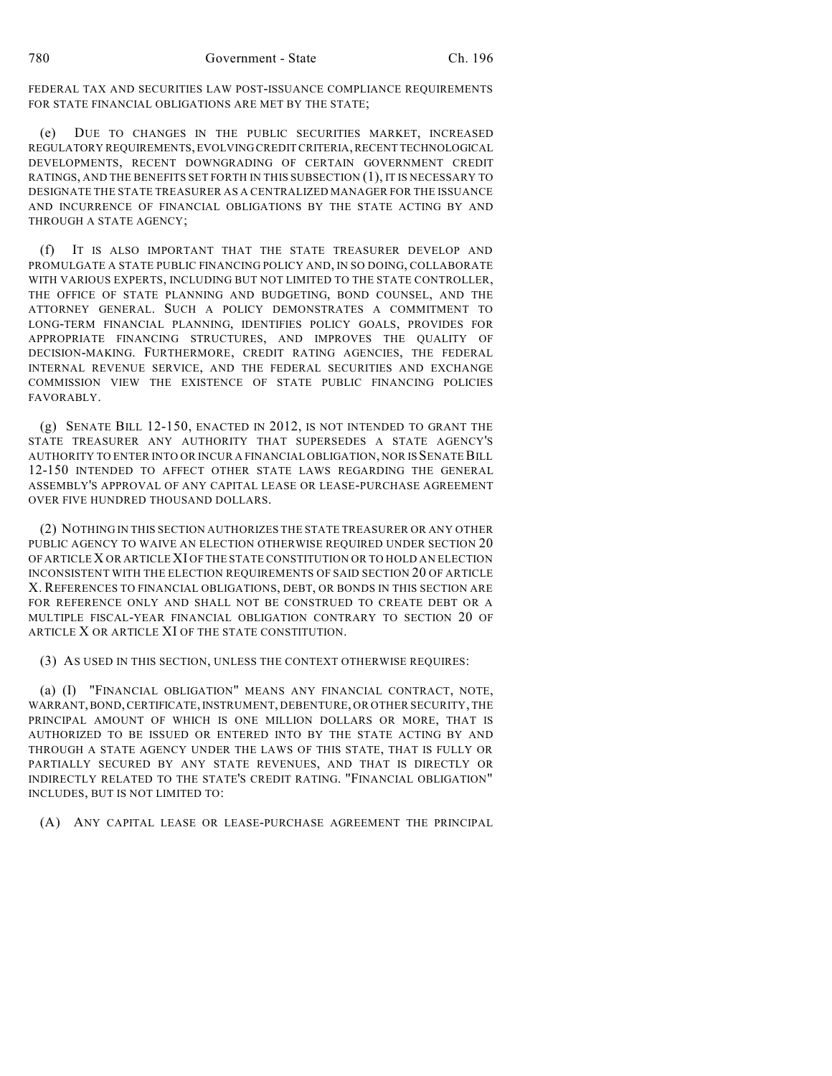FEDERAL TAX AND SECURITIES LAW POST-ISSUANCE COMPLIANCE REQUIREMENTS FOR STATE FINANCIAL OBLIGATIONS ARE MET BY THE STATE;

(e) DUE TO CHANGES IN THE PUBLIC SECURITIES MARKET, INCREASED REGULATORY REQUIREMENTS, EVOLVING CREDIT CRITERIA,RECENT TECHNOLOGICAL DEVELOPMENTS, RECENT DOWNGRADING OF CERTAIN GOVERNMENT CREDIT RATINGS, AND THE BENEFITS SET FORTH IN THIS SUBSECTION (1), IT IS NECESSARY TO DESIGNATE THE STATE TREASURER AS A CENTRALIZED MANAGER FOR THE ISSUANCE AND INCURRENCE OF FINANCIAL OBLIGATIONS BY THE STATE ACTING BY AND THROUGH A STATE AGENCY;

(f) IT IS ALSO IMPORTANT THAT THE STATE TREASURER DEVELOP AND PROMULGATE A STATE PUBLIC FINANCING POLICY AND, IN SO DOING, COLLABORATE WITH VARIOUS EXPERTS, INCLUDING BUT NOT LIMITED TO THE STATE CONTROLLER, THE OFFICE OF STATE PLANNING AND BUDGETING, BOND COUNSEL, AND THE ATTORNEY GENERAL. SUCH A POLICY DEMONSTRATES A COMMITMENT TO LONG-TERM FINANCIAL PLANNING, IDENTIFIES POLICY GOALS, PROVIDES FOR APPROPRIATE FINANCING STRUCTURES, AND IMPROVES THE QUALITY OF DECISION-MAKING. FURTHERMORE, CREDIT RATING AGENCIES, THE FEDERAL INTERNAL REVENUE SERVICE, AND THE FEDERAL SECURITIES AND EXCHANGE COMMISSION VIEW THE EXISTENCE OF STATE PUBLIC FINANCING POLICIES FAVORABLY.

(g) SENATE BILL 12-150, ENACTED IN 2012, IS NOT INTENDED TO GRANT THE STATE TREASURER ANY AUTHORITY THAT SUPERSEDES A STATE AGENCY'S AUTHORITY TO ENTER INTO OR INCUR A FINANCIAL OBLIGATION, NOR IS SENATEBILL 12-150 INTENDED TO AFFECT OTHER STATE LAWS REGARDING THE GENERAL ASSEMBLY'S APPROVAL OF ANY CAPITAL LEASE OR LEASE-PURCHASE AGREEMENT OVER FIVE HUNDRED THOUSAND DOLLARS.

(2) NOTHING IN THIS SECTION AUTHORIZES THE STATE TREASURER OR ANY OTHER PUBLIC AGENCY TO WAIVE AN ELECTION OTHERWISE REQUIRED UNDER SECTION 20 OF ARTICLE X OR ARTICLE XI OF THE STATE CONSTITUTION OR TO HOLD AN ELECTION INCONSISTENT WITH THE ELECTION REQUIREMENTS OF SAID SECTION 20 OF ARTICLE X. REFERENCES TO FINANCIAL OBLIGATIONS, DEBT, OR BONDS IN THIS SECTION ARE FOR REFERENCE ONLY AND SHALL NOT BE CONSTRUED TO CREATE DEBT OR A MULTIPLE FISCAL-YEAR FINANCIAL OBLIGATION CONTRARY TO SECTION 20 OF ARTICLE X OR ARTICLE XI OF THE STATE CONSTITUTION.

(3) AS USED IN THIS SECTION, UNLESS THE CONTEXT OTHERWISE REQUIRES:

(a) (I) "FINANCIAL OBLIGATION" MEANS ANY FINANCIAL CONTRACT, NOTE, WARRANT,BOND,CERTIFICATE,INSTRUMENT, DEBENTURE, OR OTHER SECURITY, THE PRINCIPAL AMOUNT OF WHICH IS ONE MILLION DOLLARS OR MORE, THAT IS AUTHORIZED TO BE ISSUED OR ENTERED INTO BY THE STATE ACTING BY AND THROUGH A STATE AGENCY UNDER THE LAWS OF THIS STATE, THAT IS FULLY OR PARTIALLY SECURED BY ANY STATE REVENUES, AND THAT IS DIRECTLY OR INDIRECTLY RELATED TO THE STATE'S CREDIT RATING. "FINANCIAL OBLIGATION" INCLUDES, BUT IS NOT LIMITED TO:

(A) ANY CAPITAL LEASE OR LEASE-PURCHASE AGREEMENT THE PRINCIPAL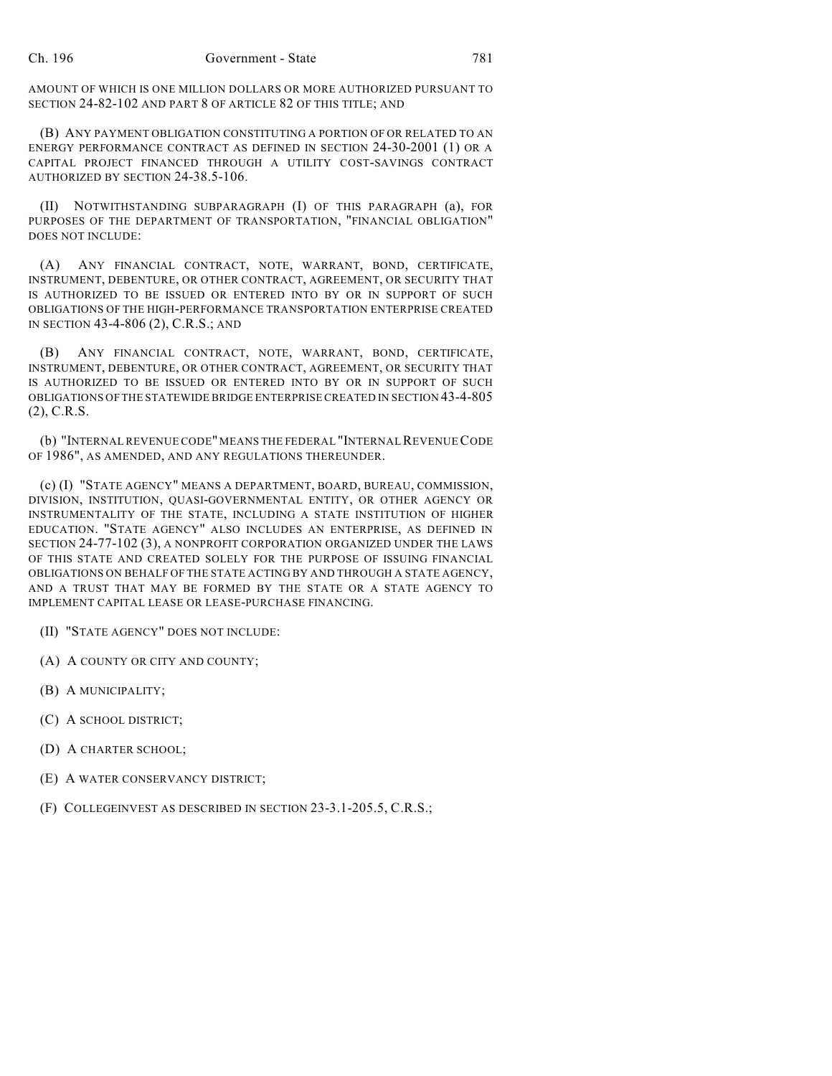AMOUNT OF WHICH IS ONE MILLION DOLLARS OR MORE AUTHORIZED PURSUANT TO SECTION 24-82-102 AND PART 8 OF ARTICLE 82 OF THIS TITLE; AND

(B) ANY PAYMENT OBLIGATION CONSTITUTING A PORTION OF OR RELATED TO AN ENERGY PERFORMANCE CONTRACT AS DEFINED IN SECTION 24-30-2001 (1) OR A CAPITAL PROJECT FINANCED THROUGH A UTILITY COST-SAVINGS CONTRACT AUTHORIZED BY SECTION 24-38.5-106.

(II) NOTWITHSTANDING SUBPARAGRAPH (I) OF THIS PARAGRAPH (a), FOR PURPOSES OF THE DEPARTMENT OF TRANSPORTATION, "FINANCIAL OBLIGATION" DOES NOT INCLUDE:

(A) ANY FINANCIAL CONTRACT, NOTE, WARRANT, BOND, CERTIFICATE, INSTRUMENT, DEBENTURE, OR OTHER CONTRACT, AGREEMENT, OR SECURITY THAT IS AUTHORIZED TO BE ISSUED OR ENTERED INTO BY OR IN SUPPORT OF SUCH OBLIGATIONS OF THE HIGH-PERFORMANCE TRANSPORTATION ENTERPRISE CREATED IN SECTION 43-4-806 (2), C.R.S.; AND

(B) ANY FINANCIAL CONTRACT, NOTE, WARRANT, BOND, CERTIFICATE, INSTRUMENT, DEBENTURE, OR OTHER CONTRACT, AGREEMENT, OR SECURITY THAT IS AUTHORIZED TO BE ISSUED OR ENTERED INTO BY OR IN SUPPORT OF SUCH OBLIGATIONS OF THE STATEWIDE BRIDGE ENTERPRISE CREATED IN SECTION 43-4-805 (2), C.R.S.

(b) "INTERNAL REVENUE CODE" MEANS THE FEDERAL "INTERNALREVENUECODE OF 1986", AS AMENDED, AND ANY REGULATIONS THEREUNDER.

(c) (I) "STATE AGENCY" MEANS A DEPARTMENT, BOARD, BUREAU, COMMISSION, DIVISION, INSTITUTION, QUASI-GOVERNMENTAL ENTITY, OR OTHER AGENCY OR INSTRUMENTALITY OF THE STATE, INCLUDING A STATE INSTITUTION OF HIGHER EDUCATION. "STATE AGENCY" ALSO INCLUDES AN ENTERPRISE, AS DEFINED IN SECTION 24-77-102 (3), A NONPROFIT CORPORATION ORGANIZED UNDER THE LAWS OF THIS STATE AND CREATED SOLELY FOR THE PURPOSE OF ISSUING FINANCIAL OBLIGATIONS ON BEHALF OF THE STATE ACTING BY AND THROUGH A STATE AGENCY, AND A TRUST THAT MAY BE FORMED BY THE STATE OR A STATE AGENCY TO IMPLEMENT CAPITAL LEASE OR LEASE-PURCHASE FINANCING.

- (II) "STATE AGENCY" DOES NOT INCLUDE:
- (A) A COUNTY OR CITY AND COUNTY;
- (B) A MUNICIPALITY;
- (C) A SCHOOL DISTRICT;
- (D) A CHARTER SCHOOL;
- (E) A WATER CONSERVANCY DISTRICT;
- (F) COLLEGEINVEST AS DESCRIBED IN SECTION 23-3.1-205.5, C.R.S.;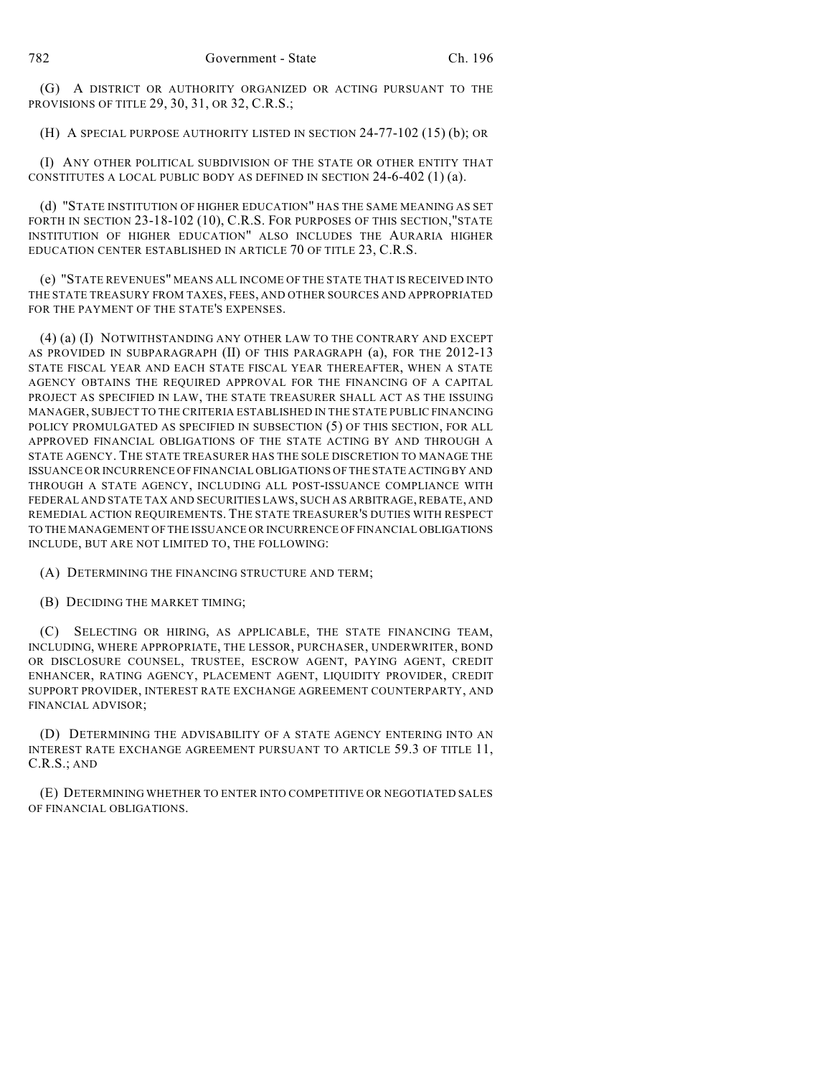(G) A DISTRICT OR AUTHORITY ORGANIZED OR ACTING PURSUANT TO THE PROVISIONS OF TITLE 29, 30, 31, OR 32, C.R.S.;

(H) A SPECIAL PURPOSE AUTHORITY LISTED IN SECTION 24-77-102 (15) (b); OR

(I) ANY OTHER POLITICAL SUBDIVISION OF THE STATE OR OTHER ENTITY THAT CONSTITUTES A LOCAL PUBLIC BODY AS DEFINED IN SECTION 24-6-402 (1) (a).

(d) "STATE INSTITUTION OF HIGHER EDUCATION" HAS THE SAME MEANING AS SET FORTH IN SECTION 23-18-102 (10), C.R.S. FOR PURPOSES OF THIS SECTION, "STATE INSTITUTION OF HIGHER EDUCATION" ALSO INCLUDES THE AURARIA HIGHER EDUCATION CENTER ESTABLISHED IN ARTICLE 70 OF TITLE 23, C.R.S.

(e) "STATE REVENUES" MEANS ALL INCOME OF THE STATE THAT IS RECEIVED INTO THE STATE TREASURY FROM TAXES, FEES, AND OTHER SOURCES AND APPROPRIATED FOR THE PAYMENT OF THE STATE'S EXPENSES.

(4) (a) (I) NOTWITHSTANDING ANY OTHER LAW TO THE CONTRARY AND EXCEPT AS PROVIDED IN SUBPARAGRAPH (II) OF THIS PARAGRAPH (a), FOR THE 2012-13 STATE FISCAL YEAR AND EACH STATE FISCAL YEAR THEREAFTER, WHEN A STATE AGENCY OBTAINS THE REQUIRED APPROVAL FOR THE FINANCING OF A CAPITAL PROJECT AS SPECIFIED IN LAW, THE STATE TREASURER SHALL ACT AS THE ISSUING MANAGER, SUBJECT TO THE CRITERIA ESTABLISHED IN THE STATE PUBLIC FINANCING POLICY PROMULGATED AS SPECIFIED IN SUBSECTION (5) OF THIS SECTION, FOR ALL APPROVED FINANCIAL OBLIGATIONS OF THE STATE ACTING BY AND THROUGH A STATE AGENCY. THE STATE TREASURER HAS THE SOLE DISCRETION TO MANAGE THE ISSUANCE OR INCURRENCE OF FINANCIAL OBLIGATIONS OF THE STATE ACTINGBY AND THROUGH A STATE AGENCY, INCLUDING ALL POST-ISSUANCE COMPLIANCE WITH FEDERAL AND STATE TAX AND SECURITIES LAWS, SUCH AS ARBITRAGE, REBATE, AND REMEDIAL ACTION REQUIREMENTS. THE STATE TREASURER'S DUTIES WITH RESPECT TO THE MANAGEMENT OF THE ISSUANCE OR INCURRENCE OF FINANCIAL OBLIGATIONS INCLUDE, BUT ARE NOT LIMITED TO, THE FOLLOWING:

(A) DETERMINING THE FINANCING STRUCTURE AND TERM;

(B) DECIDING THE MARKET TIMING;

(C) SELECTING OR HIRING, AS APPLICABLE, THE STATE FINANCING TEAM, INCLUDING, WHERE APPROPRIATE, THE LESSOR, PURCHASER, UNDERWRITER, BOND OR DISCLOSURE COUNSEL, TRUSTEE, ESCROW AGENT, PAYING AGENT, CREDIT ENHANCER, RATING AGENCY, PLACEMENT AGENT, LIQUIDITY PROVIDER, CREDIT SUPPORT PROVIDER, INTEREST RATE EXCHANGE AGREEMENT COUNTERPARTY, AND FINANCIAL ADVISOR;

(D) DETERMINING THE ADVISABILITY OF A STATE AGENCY ENTERING INTO AN INTEREST RATE EXCHANGE AGREEMENT PURSUANT TO ARTICLE 59.3 OF TITLE 11, C.R.S.; AND

(E) DETERMINING WHETHER TO ENTER INTO COMPETITIVE OR NEGOTIATED SALES OF FINANCIAL OBLIGATIONS.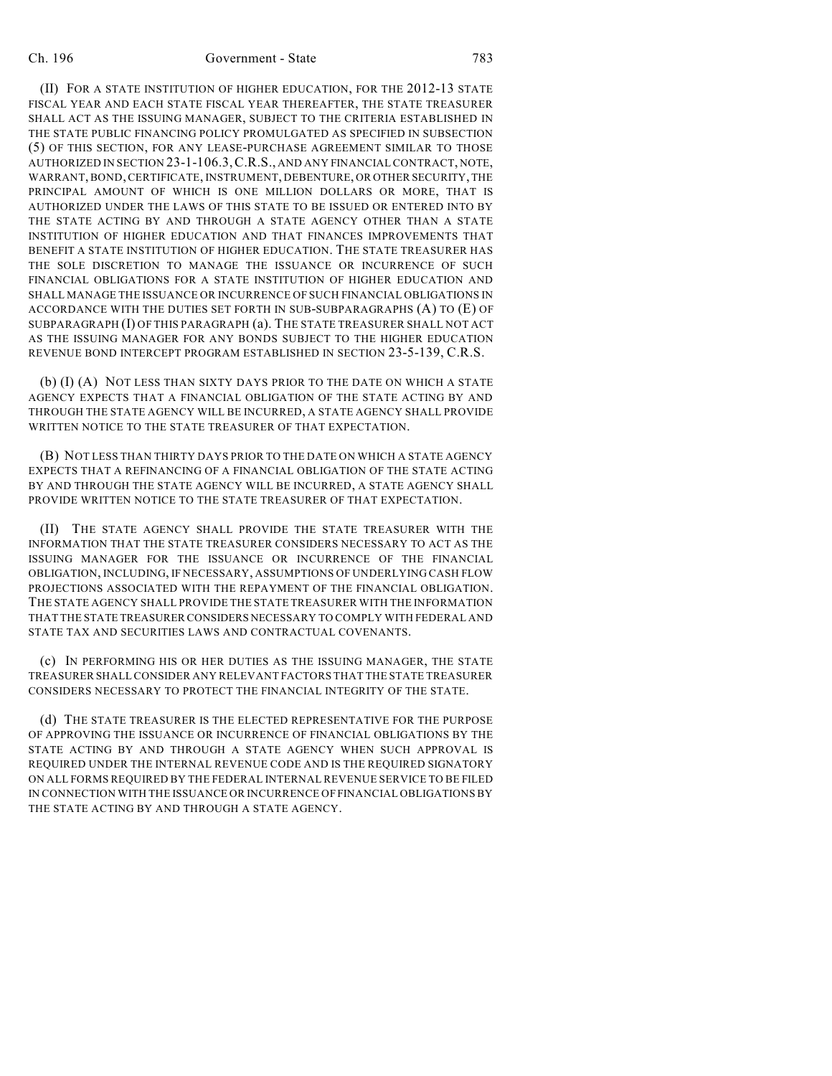(II) FOR A STATE INSTITUTION OF HIGHER EDUCATION, FOR THE 2012-13 STATE FISCAL YEAR AND EACH STATE FISCAL YEAR THEREAFTER, THE STATE TREASURER SHALL ACT AS THE ISSUING MANAGER, SUBJECT TO THE CRITERIA ESTABLISHED IN THE STATE PUBLIC FINANCING POLICY PROMULGATED AS SPECIFIED IN SUBSECTION (5) OF THIS SECTION, FOR ANY LEASE-PURCHASE AGREEMENT SIMILAR TO THOSE AUTHORIZED IN SECTION 23-1-106.3,C.R.S., AND ANY FINANCIALCONTRACT, NOTE, WARRANT,BOND,CERTIFICATE, INSTRUMENT, DEBENTURE, OR OTHER SECURITY, THE PRINCIPAL AMOUNT OF WHICH IS ONE MILLION DOLLARS OR MORE, THAT IS AUTHORIZED UNDER THE LAWS OF THIS STATE TO BE ISSUED OR ENTERED INTO BY THE STATE ACTING BY AND THROUGH A STATE AGENCY OTHER THAN A STATE INSTITUTION OF HIGHER EDUCATION AND THAT FINANCES IMPROVEMENTS THAT BENEFIT A STATE INSTITUTION OF HIGHER EDUCATION. THE STATE TREASURER HAS THE SOLE DISCRETION TO MANAGE THE ISSUANCE OR INCURRENCE OF SUCH FINANCIAL OBLIGATIONS FOR A STATE INSTITUTION OF HIGHER EDUCATION AND SHALL MANAGE THE ISSUANCE OR INCURRENCE OF SUCH FINANCIAL OBLIGATIONS IN ACCORDANCE WITH THE DUTIES SET FORTH IN SUB-SUBPARAGRAPHS (A) TO (E) OF SUBPARAGRAPH (I) OF THIS PARAGRAPH (a). THE STATE TREASURER SHALL NOT ACT AS THE ISSUING MANAGER FOR ANY BONDS SUBJECT TO THE HIGHER EDUCATION REVENUE BOND INTERCEPT PROGRAM ESTABLISHED IN SECTION 23-5-139, C.R.S.

(b) (I) (A) NOT LESS THAN SIXTY DAYS PRIOR TO THE DATE ON WHICH A STATE AGENCY EXPECTS THAT A FINANCIAL OBLIGATION OF THE STATE ACTING BY AND THROUGH THE STATE AGENCY WILL BE INCURRED, A STATE AGENCY SHALL PROVIDE WRITTEN NOTICE TO THE STATE TREASURER OF THAT EXPECTATION.

(B) NOT LESS THAN THIRTY DAYS PRIOR TO THE DATE ON WHICH A STATE AGENCY EXPECTS THAT A REFINANCING OF A FINANCIAL OBLIGATION OF THE STATE ACTING BY AND THROUGH THE STATE AGENCY WILL BE INCURRED, A STATE AGENCY SHALL PROVIDE WRITTEN NOTICE TO THE STATE TREASURER OF THAT EXPECTATION.

(II) THE STATE AGENCY SHALL PROVIDE THE STATE TREASURER WITH THE INFORMATION THAT THE STATE TREASURER CONSIDERS NECESSARY TO ACT AS THE ISSUING MANAGER FOR THE ISSUANCE OR INCURRENCE OF THE FINANCIAL OBLIGATION, INCLUDING, IF NECESSARY, ASSUMPTIONS OF UNDERLYING CASH FLOW PROJECTIONS ASSOCIATED WITH THE REPAYMENT OF THE FINANCIAL OBLIGATION. THE STATE AGENCY SHALL PROVIDE THE STATE TREASURER WITH THE INFORMATION THAT THE STATE TREASURER CONSIDERS NECESSARY TO COMPLY WITH FEDERAL AND STATE TAX AND SECURITIES LAWS AND CONTRACTUAL COVENANTS.

(c) IN PERFORMING HIS OR HER DUTIES AS THE ISSUING MANAGER, THE STATE TREASURER SHALL CONSIDER ANY RELEVANT FACTORS THAT THE STATE TREASURER CONSIDERS NECESSARY TO PROTECT THE FINANCIAL INTEGRITY OF THE STATE.

(d) THE STATE TREASURER IS THE ELECTED REPRESENTATIVE FOR THE PURPOSE OF APPROVING THE ISSUANCE OR INCURRENCE OF FINANCIAL OBLIGATIONS BY THE STATE ACTING BY AND THROUGH A STATE AGENCY WHEN SUCH APPROVAL IS REQUIRED UNDER THE INTERNAL REVENUE CODE AND IS THE REQUIRED SIGNATORY ON ALL FORMS REQUIRED BY THE FEDERAL INTERNAL REVENUE SERVICE TO BE FILED IN CONNECTION WITH THE ISSUANCE OR INCURRENCE OF FINANCIAL OBLIGATIONS BY THE STATE ACTING BY AND THROUGH A STATE AGENCY.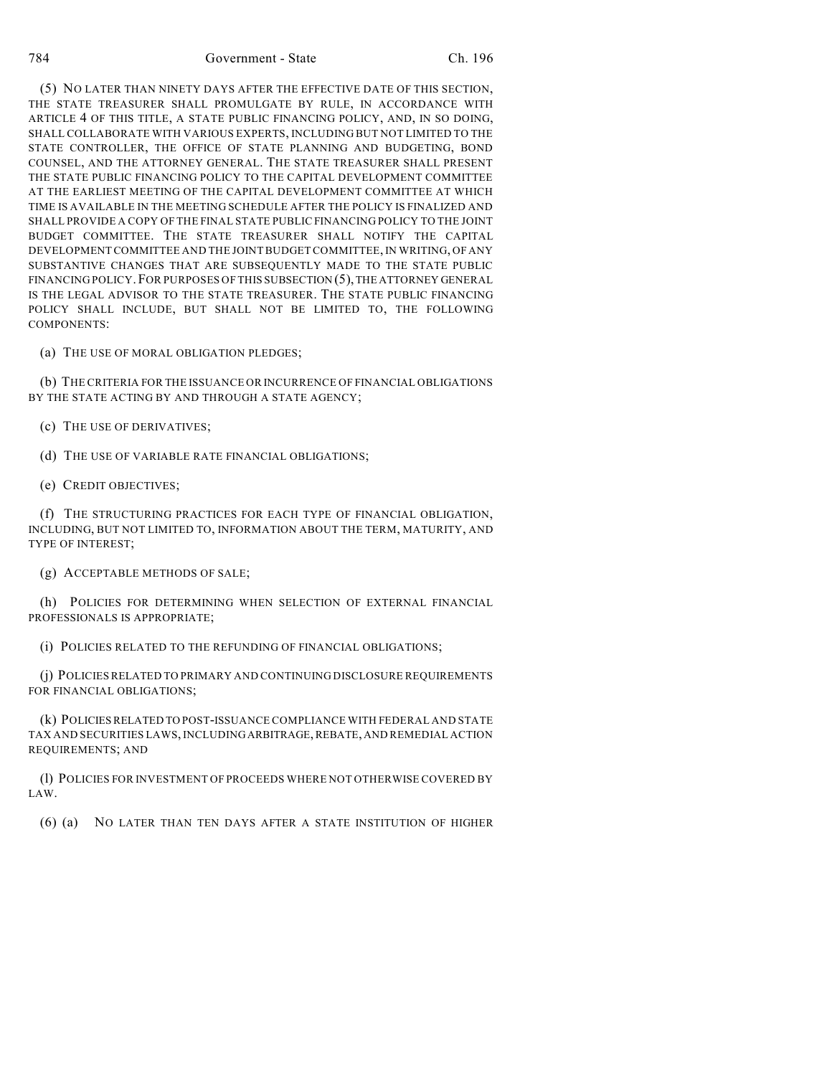(5) NO LATER THAN NINETY DAYS AFTER THE EFFECTIVE DATE OF THIS SECTION, THE STATE TREASURER SHALL PROMULGATE BY RULE, IN ACCORDANCE WITH ARTICLE 4 OF THIS TITLE, A STATE PUBLIC FINANCING POLICY, AND, IN SO DOING, SHALL COLLABORATE WITH VARIOUS EXPERTS, INCLUDING BUT NOT LIMITED TO THE STATE CONTROLLER, THE OFFICE OF STATE PLANNING AND BUDGETING, BOND COUNSEL, AND THE ATTORNEY GENERAL. THE STATE TREASURER SHALL PRESENT THE STATE PUBLIC FINANCING POLICY TO THE CAPITAL DEVELOPMENT COMMITTEE AT THE EARLIEST MEETING OF THE CAPITAL DEVELOPMENT COMMITTEE AT WHICH TIME IS AVAILABLE IN THE MEETING SCHEDULE AFTER THE POLICY IS FINALIZED AND SHALL PROVIDE A COPY OF THE FINAL STATE PUBLIC FINANCING POLICY TO THE JOINT BUDGET COMMITTEE. THE STATE TREASURER SHALL NOTIFY THE CAPITAL DEVELOPMENT COMMITTEE AND THE JOINTBUDGETCOMMITTEE, IN WRITING, OF ANY SUBSTANTIVE CHANGES THAT ARE SUBSEQUENTLY MADE TO THE STATE PUBLIC FINANCING POLICY. FOR PURPOSES OF THIS SUBSECTION  $(5)$ , THE ATTORNEY GENERAL IS THE LEGAL ADVISOR TO THE STATE TREASURER. THE STATE PUBLIC FINANCING POLICY SHALL INCLUDE, BUT SHALL NOT BE LIMITED TO, THE FOLLOWING COMPONENTS:

(a) THE USE OF MORAL OBLIGATION PLEDGES;

(b) THE CRITERIA FOR THE ISSUANCE OR INCURRENCE OF FINANCIAL OBLIGATIONS BY THE STATE ACTING BY AND THROUGH A STATE AGENCY;

(c) THE USE OF DERIVATIVES;

(d) THE USE OF VARIABLE RATE FINANCIAL OBLIGATIONS;

(e) CREDIT OBJECTIVES;

(f) THE STRUCTURING PRACTICES FOR EACH TYPE OF FINANCIAL OBLIGATION, INCLUDING, BUT NOT LIMITED TO, INFORMATION ABOUT THE TERM, MATURITY, AND TYPE OF INTEREST;

(g) ACCEPTABLE METHODS OF SALE;

(h) POLICIES FOR DETERMINING WHEN SELECTION OF EXTERNAL FINANCIAL PROFESSIONALS IS APPROPRIATE;

(i) POLICIES RELATED TO THE REFUNDING OF FINANCIAL OBLIGATIONS;

(j) POLICIES RELATED TO PRIMARY AND CONTINUING DISCLOSURE REQUIREMENTS FOR FINANCIAL OBLIGATIONS;

(k) POLICIESRELATED TO POST-ISSUANCE COMPLIANCE WITH FEDERAL AND STATE TAX AND SECURITIES LAWS, INCLUDINGARBITRAGE,REBATE, AND REMEDIAL ACTION REQUIREMENTS; AND

(l) POLICIES FOR INVESTMENT OF PROCEEDS WHERE NOT OTHERWISE COVERED BY LAW.

(6) (a) NO LATER THAN TEN DAYS AFTER A STATE INSTITUTION OF HIGHER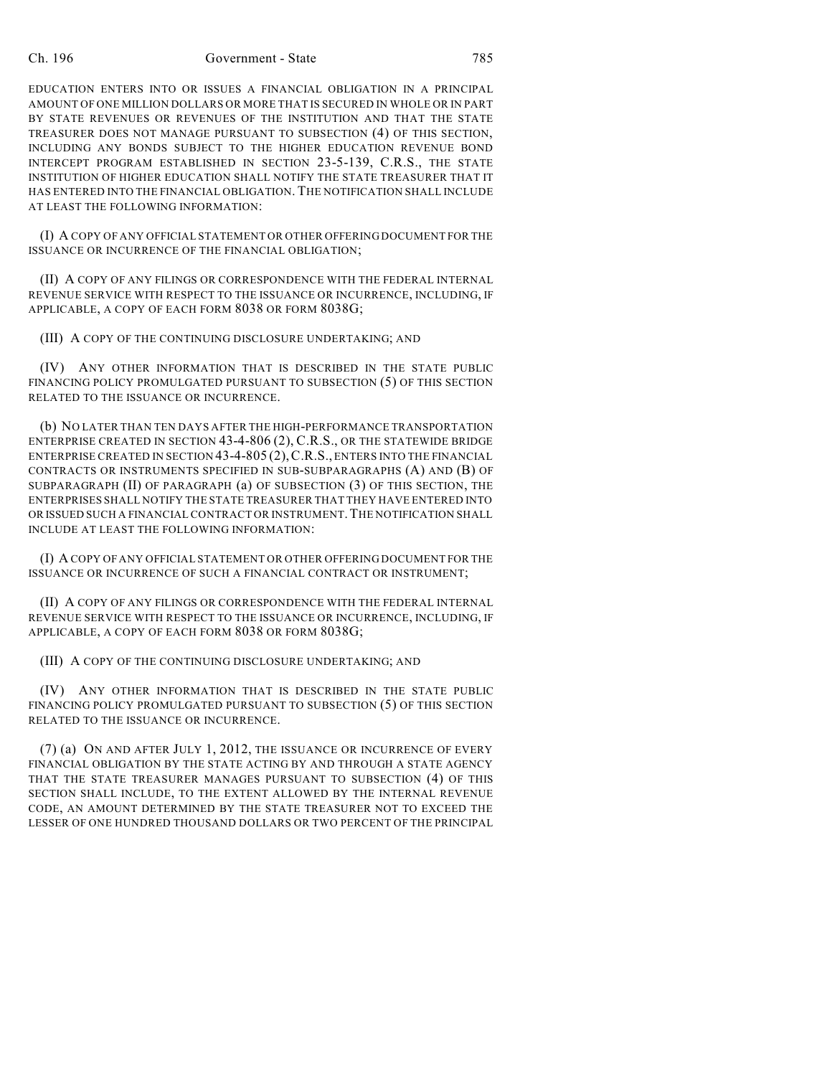## Ch. 196 Government - State 785

EDUCATION ENTERS INTO OR ISSUES A FINANCIAL OBLIGATION IN A PRINCIPAL AMOUNT OF ONE MILLION DOLLARS OR MORE THAT IS SECURED IN WHOLE OR IN PART BY STATE REVENUES OR REVENUES OF THE INSTITUTION AND THAT THE STATE TREASURER DOES NOT MANAGE PURSUANT TO SUBSECTION (4) OF THIS SECTION, INCLUDING ANY BONDS SUBJECT TO THE HIGHER EDUCATION REVENUE BOND INTERCEPT PROGRAM ESTABLISHED IN SECTION 23-5-139, C.R.S., THE STATE INSTITUTION OF HIGHER EDUCATION SHALL NOTIFY THE STATE TREASURER THAT IT HAS ENTERED INTO THE FINANCIAL OBLIGATION. THE NOTIFICATION SHALL INCLUDE AT LEAST THE FOLLOWING INFORMATION:

(I) A COPY OF ANY OFFICIAL STATEMENT OR OTHER OFFERING DOCUMENT FOR THE ISSUANCE OR INCURRENCE OF THE FINANCIAL OBLIGATION;

(II) A COPY OF ANY FILINGS OR CORRESPONDENCE WITH THE FEDERAL INTERNAL REVENUE SERVICE WITH RESPECT TO THE ISSUANCE OR INCURRENCE, INCLUDING, IF APPLICABLE, A COPY OF EACH FORM 8038 OR FORM 8038G;

(III) A COPY OF THE CONTINUING DISCLOSURE UNDERTAKING; AND

(IV) ANY OTHER INFORMATION THAT IS DESCRIBED IN THE STATE PUBLIC FINANCING POLICY PROMULGATED PURSUANT TO SUBSECTION (5) OF THIS SECTION RELATED TO THE ISSUANCE OR INCURRENCE.

(b) NO LATER THAN TEN DAYS AFTER THE HIGH-PERFORMANCE TRANSPORTATION ENTERPRISE CREATED IN SECTION 43-4-806 (2), C.R.S., OR THE STATEWIDE BRIDGE ENTERPRISE CREATED IN SECTION 43-4-805 (2),C.R.S., ENTERS INTO THE FINANCIAL CONTRACTS OR INSTRUMENTS SPECIFIED IN SUB-SUBPARAGRAPHS (A) AND (B) OF SUBPARAGRAPH (II) OF PARAGRAPH (a) OF SUBSECTION (3) OF THIS SECTION, THE ENTERPRISES SHALL NOTIFY THE STATE TREASURER THAT THEY HAVE ENTERED INTO OR ISSUED SUCH A FINANCIAL CONTRACT OR INSTRUMENT. THE NOTIFICATION SHALL INCLUDE AT LEAST THE FOLLOWING INFORMATION:

(I) A COPY OF ANY OFFICIAL STATEMENT OR OTHER OFFERING DOCUMENT FOR THE ISSUANCE OR INCURRENCE OF SUCH A FINANCIAL CONTRACT OR INSTRUMENT;

(II) A COPY OF ANY FILINGS OR CORRESPONDENCE WITH THE FEDERAL INTERNAL REVENUE SERVICE WITH RESPECT TO THE ISSUANCE OR INCURRENCE, INCLUDING, IF APPLICABLE, A COPY OF EACH FORM 8038 OR FORM 8038G;

(III) A COPY OF THE CONTINUING DISCLOSURE UNDERTAKING; AND

(IV) ANY OTHER INFORMATION THAT IS DESCRIBED IN THE STATE PUBLIC FINANCING POLICY PROMULGATED PURSUANT TO SUBSECTION (5) OF THIS SECTION RELATED TO THE ISSUANCE OR INCURRENCE.

(7) (a) ON AND AFTER JULY 1, 2012, THE ISSUANCE OR INCURRENCE OF EVERY FINANCIAL OBLIGATION BY THE STATE ACTING BY AND THROUGH A STATE AGENCY THAT THE STATE TREASURER MANAGES PURSUANT TO SUBSECTION (4) OF THIS SECTION SHALL INCLUDE, TO THE EXTENT ALLOWED BY THE INTERNAL REVENUE CODE, AN AMOUNT DETERMINED BY THE STATE TREASURER NOT TO EXCEED THE LESSER OF ONE HUNDRED THOUSAND DOLLARS OR TWO PERCENT OF THE PRINCIPAL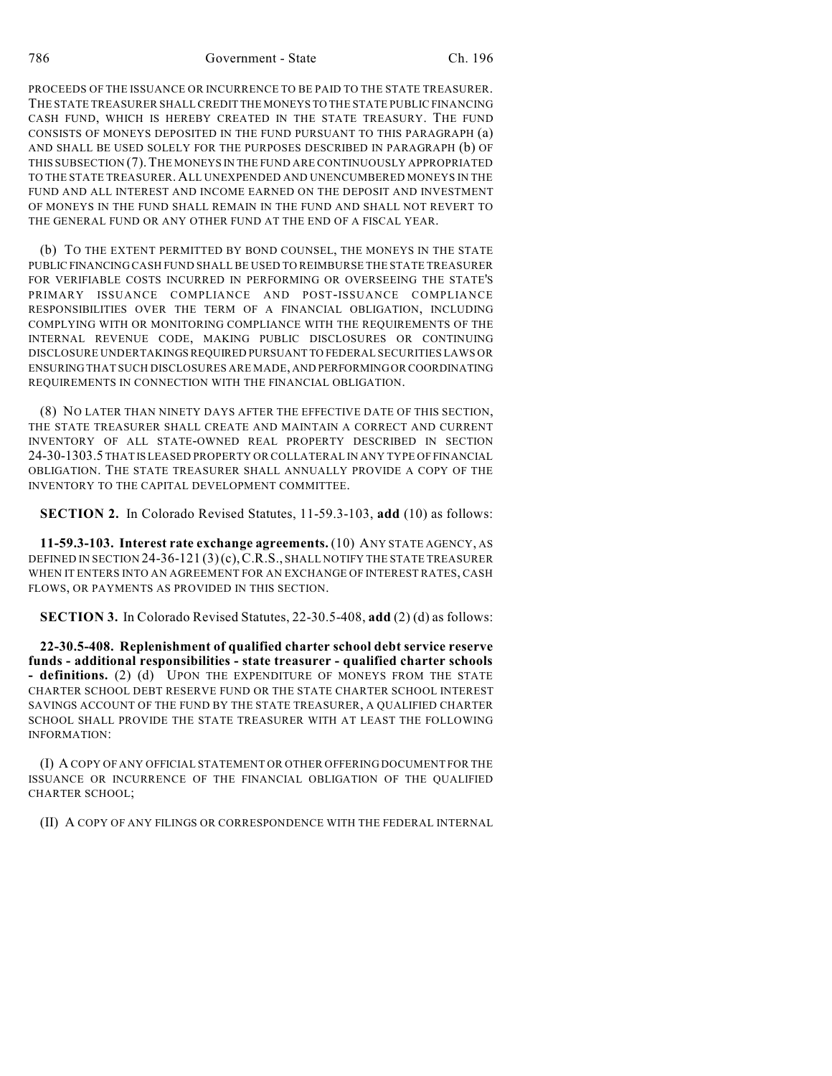786 Government - State Ch. 196

PROCEEDS OF THE ISSUANCE OR INCURRENCE TO BE PAID TO THE STATE TREASURER. THE STATE TREASURER SHALL CREDIT THE MONEYS TO THE STATE PUBLIC FINANCING CASH FUND, WHICH IS HEREBY CREATED IN THE STATE TREASURY. THE FUND CONSISTS OF MONEYS DEPOSITED IN THE FUND PURSUANT TO THIS PARAGRAPH (a) AND SHALL BE USED SOLELY FOR THE PURPOSES DESCRIBED IN PARAGRAPH (b) OF THIS SUBSECTION (7).THE MONEYS IN THE FUND ARE CONTINUOUSLY APPROPRIATED TO THE STATE TREASURER. ALL UNEXPENDED AND UNENCUMBERED MONEYS IN THE FUND AND ALL INTEREST AND INCOME EARNED ON THE DEPOSIT AND INVESTMENT OF MONEYS IN THE FUND SHALL REMAIN IN THE FUND AND SHALL NOT REVERT TO THE GENERAL FUND OR ANY OTHER FUND AT THE END OF A FISCAL YEAR.

(b) TO THE EXTENT PERMITTED BY BOND COUNSEL, THE MONEYS IN THE STATE PUBLIC FINANCING CASH FUND SHALL BE USED TO REIMBURSE THE STATE TREASURER FOR VERIFIABLE COSTS INCURRED IN PERFORMING OR OVERSEEING THE STATE'S PRIMARY ISSUANCE COMPLIANCE AND POST-ISSUANCE COMPLIANCE RESPONSIBILITIES OVER THE TERM OF A FINANCIAL OBLIGATION, INCLUDING COMPLYING WITH OR MONITORING COMPLIANCE WITH THE REQUIREMENTS OF THE INTERNAL REVENUE CODE, MAKING PUBLIC DISCLOSURES OR CONTINUING DISCLOSURE UNDERTAKINGSREQUIRED PURSUANT TO FEDERAL SECURITIES LAWS OR ENSURING THAT SUCH DISCLOSURES ARE MADE, AND PERFORMINGOR COORDINATING REQUIREMENTS IN CONNECTION WITH THE FINANCIAL OBLIGATION.

(8) NO LATER THAN NINETY DAYS AFTER THE EFFECTIVE DATE OF THIS SECTION, THE STATE TREASURER SHALL CREATE AND MAINTAIN A CORRECT AND CURRENT INVENTORY OF ALL STATE-OWNED REAL PROPERTY DESCRIBED IN SECTION 24-30-1303.5 THAT IS LEASED PROPERTY OR COLLATERAL IN ANY TYPE OF FINANCIAL OBLIGATION. THE STATE TREASURER SHALL ANNUALLY PROVIDE A COPY OF THE INVENTORY TO THE CAPITAL DEVELOPMENT COMMITTEE.

**SECTION 2.** In Colorado Revised Statutes, 11-59.3-103, **add** (10) as follows:

**11-59.3-103. Interest rate exchange agreements.** (10) ANY STATE AGENCY, AS DEFINED IN SECTION 24-36-121  $(3)(c)$ , C.R.S., SHALL NOTIFY THE STATE TREASURER WHEN IT ENTERS INTO AN AGREEMENT FOR AN EXCHANGE OF INTEREST RATES, CASH FLOWS, OR PAYMENTS AS PROVIDED IN THIS SECTION.

**SECTION 3.** In Colorado Revised Statutes, 22-30.5-408, **add** (2) (d) as follows:

**22-30.5-408. Replenishment of qualified charter school debt service reserve funds - additional responsibilities - state treasurer - qualified charter schools - definitions.** (2) (d) UPON THE EXPENDITURE OF MONEYS FROM THE STATE CHARTER SCHOOL DEBT RESERVE FUND OR THE STATE CHARTER SCHOOL INTEREST SAVINGS ACCOUNT OF THE FUND BY THE STATE TREASURER, A QUALIFIED CHARTER SCHOOL SHALL PROVIDE THE STATE TREASURER WITH AT LEAST THE FOLLOWING INFORMATION:

(I) A COPY OF ANY OFFICIAL STATEMENT OR OTHER OFFERING DOCUMENT FOR THE ISSUANCE OR INCURRENCE OF THE FINANCIAL OBLIGATION OF THE QUALIFIED CHARTER SCHOOL;

(II) A COPY OF ANY FILINGS OR CORRESPONDENCE WITH THE FEDERAL INTERNAL